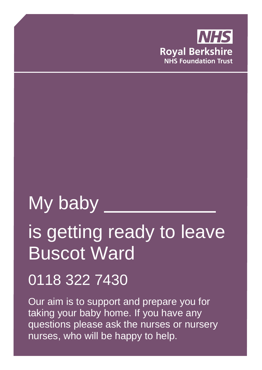

# My baby

# is getting ready to leave Buscot Ward

# 0118 322 7430

Our aim is to support and prepare you for taking your baby home. If you have any questions please ask the nurses or nursery nurses, who will be happy to help.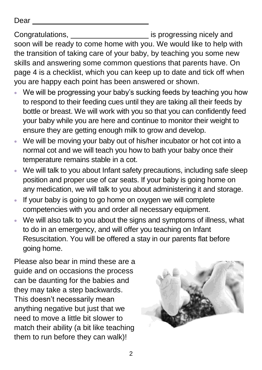Dear

Congratulations, is progressing nicely and soon will be ready to come home with you. We would like to help with the transition of taking care of your baby, by teaching you some new skills and answering some common questions that parents have. On page 4 is a checklist, which you can keep up to date and tick off when you are happy each point has been answered or shown.

- We will be progressing your baby's sucking feeds by teaching you how to respond to their feeding cues until they are taking all their feeds by bottle or breast. We will work with you so that you can confidently feed your baby while you are here and continue to monitor their weight to ensure they are getting enough milk to grow and develop.
- We will be moving your baby out of his/her incubator or hot cot into a normal cot and we will teach you how to bath your baby once their temperature remains stable in a cot.
- We will talk to you about Infant safety precautions, including safe sleep position and proper use of car seats. If your baby is going home on any medication, we will talk to you about administering it and storage.
- If your baby is going to go home on oxygen we will complete competencies with you and order all necessary equipment.
- We will also talk to you about the signs and symptoms of illness, what to do in an emergency, and will offer you teaching on Infant Resuscitation. You will be offered a stay in our parents flat before going home.

Please also bear in mind these are a guide and on occasions the process can be daunting for the babies and they may take a step backwards. This doesn't necessarily mean anything negative but just that we need to move a little bit slower to match their ability (a bit like teaching them to run before they can walk)!

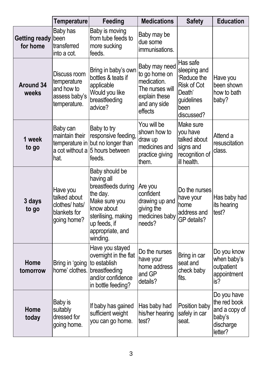|                                  | <b>Temperature</b>                                                         | Feeding                                                                                                                                                              | <b>Medications</b>                                                                                           | <b>Safety</b>                                                                                               | <b>Education</b>                                                               |
|----------------------------------|----------------------------------------------------------------------------|----------------------------------------------------------------------------------------------------------------------------------------------------------------------|--------------------------------------------------------------------------------------------------------------|-------------------------------------------------------------------------------------------------------------|--------------------------------------------------------------------------------|
| <b>Getting ready</b><br>for home | Baby has<br>been<br>transferred<br>into a cot.                             | Baby is moving<br>from tube feeds to<br>more sucking<br>feeds.                                                                                                       | Baby may be<br>due some<br>immunisations.                                                                    |                                                                                                             |                                                                                |
| <b>Around 34</b><br>weeks        | Discuss room<br>temperature<br>and how to<br>assess baby's<br>temperature. | Bring in baby's own<br>bottles & teats if<br>applicable<br>Would you like<br>breastfeeding<br>advice?                                                                | Baby may need<br>to go home on<br>medication.<br>The nurses will<br>explain these<br>and any side<br>effects | Has safe<br>sleeping and<br>'Reduce the<br><b>Risk of Cot</b><br>Death'<br>guidelines<br>been<br>discussed? | Have you<br>been shown<br>how to bath<br>baby?                                 |
| 1 week<br>to go                  | Baby can<br>maintain their<br>a cot without a<br>hat.                      | Baby to try<br>responsive feeding,<br>temperature in but no longer than<br>5 hours between<br>feeds.                                                                 | You will be<br>shown how to<br>draw up<br>medicines and<br>practice giving<br>them.                          | Make sure<br>you have<br>talked about<br>signs and<br>recognition of<br>ill health.                         | Attend a<br>resuscitation<br>class.                                            |
| 3 days<br>to go                  | Have you<br>talked about<br>clothes/hats/<br>blankets for<br>going home?   | Baby should be<br>having all<br>breastfeeds during<br>the day.<br>Make sure you<br>know about<br>sterilising, making<br>up feeds, if<br>appropriate, and<br>winding. | Are you<br>confident<br>drawing up and<br>giving the<br>medicines baby<br>needs?                             | Do the nurses<br>have your<br>home<br>address and<br>GP details?                                            | Has baby had<br>its hearing<br>test?                                           |
| Home<br>tomorrow                 | Bring in 'going<br>home' clothes.                                          | Have you stayed<br>overnight in the flat<br>to establish<br>breastfeeding<br>and/or confidence<br>in bottle feeding?                                                 | Do the nurses<br>have your<br>home address<br>and GP<br>details?                                             | Bring in car<br>seat and<br>check baby<br>fits.                                                             | Do you know<br>when baby's<br>outpatient<br>appointment<br>is?                 |
| Home<br>today                    | Baby is<br>suitably<br>dressed for<br>going home.                          | If baby has gained<br>sufficient weight<br>you can go home.                                                                                                          | Has baby had<br>his/her hearing<br>test?                                                                     | Position baby<br>safely in car<br>seat.                                                                     | Do you have<br>the red book<br>and a copy of<br>baby's<br>discharge<br>letter? |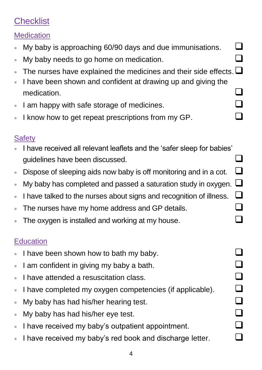# **Checklist**

#### **Medication**

- My baby is approaching 60/90 days and due immunisations.  $\Box$
- My baby needs to go home on medication.  $\Box$
- The nurses have explained the medicines and their side effects.  $\square$
- I have been shown and confident at drawing up and giving the medication.  $\Box$
- I am happy with safe storage of medicines.
- I know how to get repeat prescriptions from my GP.

#### **Safety**

- I have received all relevant leaflets and the 'safer sleep for babies' guidelines have been discussed.
- Dispose of sleeping aids now baby is off monitoring and in a cot.  $\Box$
- My baby has completed and passed a saturation study in oxygen.  $\square$
- I have talked to the nurses about signs and recognition of illness.
- The nurses have my home address and GP details.
- The oxygen is installed and working at my house.

#### **Education**

- I have been shown how to bath my baby.
- I am confident in giving my baby a bath.
- I have attended a resuscitation class.
- I have completed my oxygen competencies (if applicable).
- **My baby has had his/her hearing test.**
- My baby has had his/her eye test.
- I have received my baby's outpatient appointment.
- I have received my baby's red book and discharge letter.

| n.                          |   |
|-----------------------------|---|
| J                           |   |
| $\Box$                      |   |
|                             |   |
|                             |   |
| $\mathcal{L}_{\mathcal{A}}$ |   |
| $\Box$                      |   |
|                             | I |
| $\Box$                      | I |
| $\Box$                      | I |
| ビ                           |   |
| ×                           |   |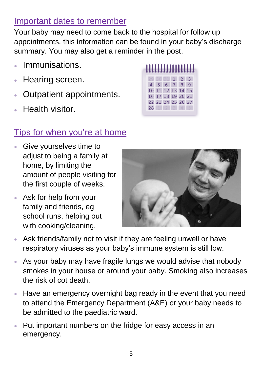### Important dates to remember

Your baby may need to come back to the hospital for follow up appointments, this information can be found in your baby's discharge summary. You may also get a reminder in the post.

- Immunisations.
- Hearing screen.
- Outpatient appointments.
- Health visitor.

#### 29 30 31 1 2 3 4 5 6 7 8 9 10 11 12 13 14 15 16 17 18 19 20 21 22 23 24 25 26 27 28 1 2 3 4 5

#### Tips for when you're at home

- Give yourselves time to adjust to being a family at home, by limiting the amount of people visiting for the first couple of weeks.
- Ask for help from your family and friends, eg school runs, helping out with cooking/cleaning.



- Ask friends/family not to visit if they are feeling unwell or have respiratory viruses as your baby's immune system is still low.
- As your baby may have fragile lungs we would advise that nobody smokes in your house or around your baby. Smoking also increases the risk of cot death.
- Have an emergency overnight bag ready in the event that you need to attend the Emergency Department (A&E) or your baby needs to be admitted to the paediatric ward.
- Put important numbers on the fridge for easy access in an emergency.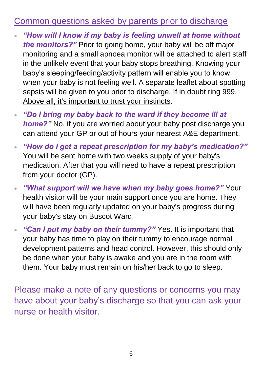#### Common questions asked by parents prior to discharge

- *"How will I know if my baby is feeling unwell at home without the monitors?"* Prior to going home, your baby will be off major monitoring and a small apnoea monitor will be attached to alert staff in the unlikely event that your baby stops breathing. Knowing your baby's sleeping/feeding/activity pattern will enable you to know when your baby is not feeling well. A separate leaflet about spotting sepsis will be given to you prior to discharge. If in doubt ring 999. Above all, it's important to trust your instincts.
- *"Do I bring my baby back to the ward if they become ill at home?"* No, if you are worried about your baby post discharge you can attend your GP or out of hours your nearest A&E department.
- *"How do I get a repeat prescription for my baby's medication?"* You will be sent home with two weeks supply of your baby's medication. After that you will need to have a repeat prescription from your doctor (GP).
- *"What support will we have when my baby goes home?"* Your health visitor will be your main support once you are home. They will have been regularly updated on your baby's progress during your baby's stay on Buscot Ward.
- *"Can I put my baby on their tummy?"* Yes. It is important that your baby has time to play on their tummy to encourage normal development patterns and head control. However, this should only be done when your baby is awake and you are in the room with them. Your baby must remain on his/her back to go to sleep.

Please make a note of any questions or concerns you may have about your baby's discharge so that you can ask your nurse or health visitor.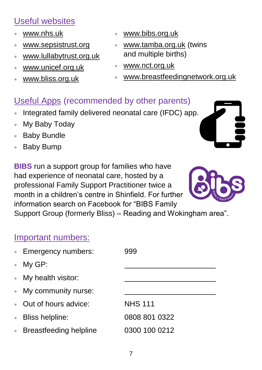### Useful websites

- [www.nhs.uk](http://www.nhs.uk/)
- [www.sepsistrust.org](http://www.sepsistrust.org/)
- [www.lullabytrust.org.uk](http://www.lullabytrust.org.uk/)
- [www.unicef.org.uk](http://www.unicef.org.uk/)
- [www.bliss.org.uk](http://www.bliss.org.uk/)
- [www.bibs.org.uk](http://www.bibs.org.uk/)
- [www.tamba.org.uk](http://www.tamba.org.uk/) (twins and multiple births)
- [www.nct.org.uk](http://www.nct.org.uk/)
- [www.breastfeedingnetwork.org.uk](http://www.breastfeedingnetwork.org.uk/)

### Useful Apps (recommended by other parents)

- Integrated family delivered neonatal care (IFDC) app.
- My Baby Today
- Baby Bundle
- Baby Bump

**BIBS** run a support group for families who have had experience of neonatal care, hosted by a professional Family Support Practitioner twice a month in a children's centre in Shinfield. For further information search on Facebook for "BIBS Family Support Group (formerly Bliss) – Reading and Wokingham area".



Important numbers:

| • Emergency numbers:     | 999            |
|--------------------------|----------------|
| $\bullet$ My GP:         |                |
| • My health visitor:     |                |
| • My community nurse:    |                |
| • Out of hours advice:   | <b>NHS 111</b> |
| • Bliss helpline:        | 0808 801 0322  |
| • Breastfeeding helpline | 0300 100 0212  |
|                          |                |